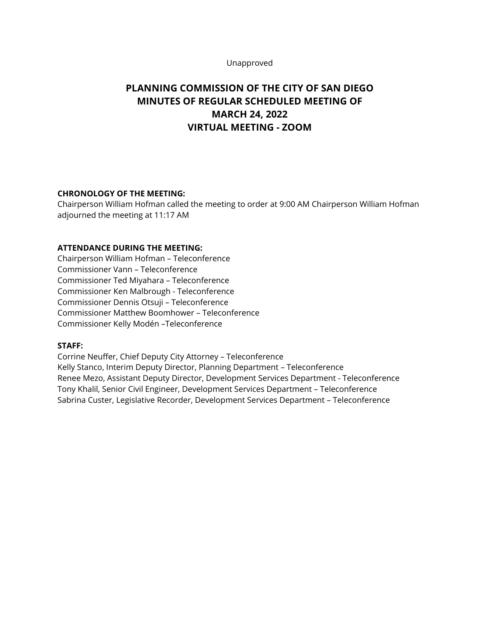#### Unapproved

# **PLANNING COMMISSION OF THE CITY OF SAN DIEGO MINUTES OF REGULAR SCHEDULED MEETING OF MARCH 24, 2022 VIRTUAL MEETING - ZOOM**

# **CHRONOLOGY OF THE MEETING:**

Chairperson William Hofman called the meeting to order at 9:00 AM Chairperson William Hofman adjourned the meeting at 11:17 AM

#### **ATTENDANCE DURING THE MEETING:**

Chairperson William Hofman – Teleconference Commissioner Vann – Teleconference Commissioner Ted Miyahara – Teleconference Commissioner Ken Malbrough - Teleconference Commissioner Dennis Otsuji – Teleconference Commissioner Matthew Boomhower – Teleconference Commissioner Kelly Modén –Teleconference

#### **STAFF:**

Corrine Neuffer, Chief Deputy City Attorney – Teleconference Kelly Stanco, Interim Deputy Director, Planning Department – Teleconference Renee Mezo, Assistant Deputy Director, Development Services Department - Teleconference Tony Khalil, Senior Civil Engineer, Development Services Department – Teleconference Sabrina Custer, Legislative Recorder, Development Services Department – Teleconference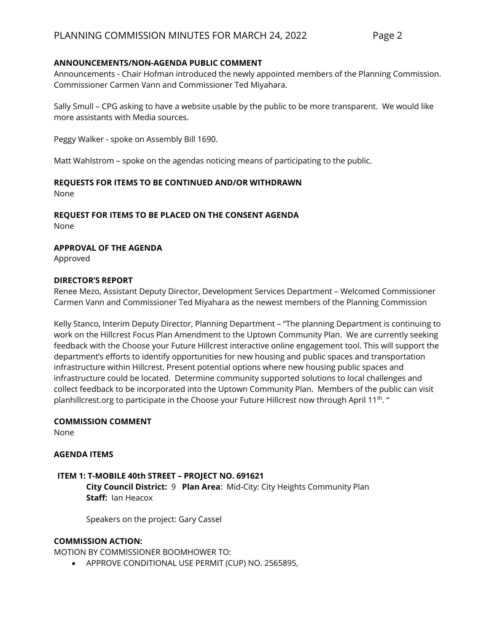## **ANNOUNCEMENTS/NON-AGENDA PUBLIC COMMENT**

Announcements - Chair Hofman introduced the newly appointed members of the Planning Commission. Commissioner Carmen Vann and Commissioner Ted Miyahara.

Sally Smull – CPG asking to have a website usable by the public to be more transparent. We would like more assistants with Media sources.

Peggy Walker - spoke on Assembly Bill 1690.

Matt Wahlstrom – spoke on the agendas noticing means of participating to the public.

## **REQUESTS FOR ITEMS TO BE CONTINUED AND/OR WITHDRAWN**

None

## **REQUEST FOR ITEMS TO BE PLACED ON THE CONSENT AGENDA**

None

## **APPROVAL OF THE AGENDA**

Approved

#### **DIRECTOR'S REPORT**

Renee Mezo, Assistant Deputy Director, Development Services Department – Welcomed Commissioner Carmen Vann and Commissioner Ted Miyahara as the newest members of the Planning Commission

Kelly Stanco, Interim Deputy Director, Planning Department – "The planning Department is continuing to work on the Hillcrest Focus Plan Amendment to the Uptown Community Plan. We are currently seeking feedback with the Choose your Future Hillcrest interactive online engagement tool. This will support the department's efforts to identify opportunities for new housing and public spaces and transportation infrastructure within Hillcrest. Present potential options where new housing public spaces and infrastructure could be located. Determine community supported solutions to local challenges and collect feedback to be incorporated into the Uptown Community Plan. Members of the public can visit planhillcrest.org to participate in the Choose your Future Hillcrest now through April 11<sup>th</sup>. "

## **COMMISSION COMMENT**

None

#### **AGENDA ITEMS**

## **ITEM 1: T-MOBILE 40th STREET – PROJECT NO. 691621 City Council District:** 9 **Plan Area**: Mid-City: City Heights Community Plan **Staff:** Ian Heacox

Speakers on the project: Gary Cassel

#### **COMMISSION ACTION:**

MOTION BY COMMISSIONER BOOMHOWER TO:

• APPROVE CONDITIONAL USE PERMIT (CUP) NO. 2565895,